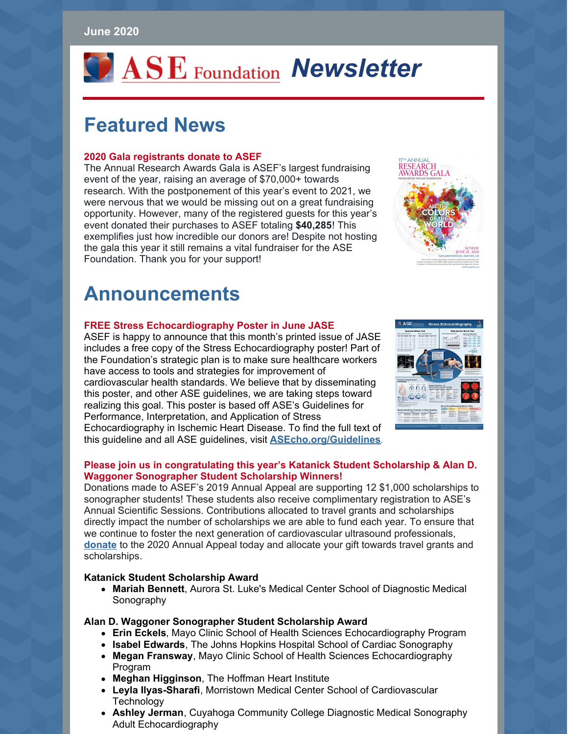#### **June 2020**

# *VASE* Foundation Newsletter

# **Featured News**

#### **2020 Gala registrants donate to ASEF**

The Annual Research Awards Gala is ASEF's largest fundraising event of the year, raising an average of \$70,000+ towards research. With the postponement of this year's event to 2021, we were nervous that we would be missing out on a great fundraising opportunity. However, many of the registered guests for this year's event donated their purchases to ASEF totaling **\$40,285**! This exemplifies just how incredible our donors are! Despite not hosting the gala this year it still remains a vital fundraiser for the ASE Foundation. Thank you for your support!



## **Announcements**

#### **FREE Stress Echocardiography Poster in June JASE**

ASEF is happy to announce that this month's printed issue of JASE includes a free copy of the Stress Echocardiography poster! Part of the Foundation's strategic plan is to make sure healthcare workers have access to tools and strategies for improvement of cardiovascular health standards. We believe that by disseminating this poster, and other ASE guidelines, we are taking steps toward realizing this goal. This poster is based off ASE's Guidelines for Performance, Interpretation, and Application of Stress Echocardiography in Ischemic Heart Disease. To find the full text of this guideline and all ASE guidelines, visit **[ASEcho.org/Guidelines](http://www.asecho.org/guidelines-search)**.



#### **Please join us in congratulating this year's Katanick Student Scholarship & Alan D. Waggoner Sonographer Student Scholarship Winners!**

Donations made to ASEF's 2019 Annual Appeal are supporting 12 \$1,000 scholarships to sonographer students! These students also receive complimentary registration to ASE's Annual Scientific Sessions. Contributions allocated to travel grants and scholarships directly impact the number of scholarships we are able to fund each year. To ensure that we continue to foster the next generation of cardiovascular ultrasound professionals, **[donate](https://asecho-prod.force.com/OrderApi__campaign?id=a2W4A000005a6jtUAA&site=a2H4A000002dA1fUAE&sourceCode=a344A000000En0iQAC)** to the 2020 Annual Appeal today and allocate your gift towards travel grants and scholarships.

#### **Katanick Student Scholarship Award**

**Mariah Bennett**, Aurora St. Luke's Medical Center School of Diagnostic Medical Sonography

#### **Alan D. Waggoner Sonographer Student Scholarship Award**

- **Erin Eckels**, Mayo Clinic School of Health Sciences Echocardiography Program
- **Isabel Edwards**, The Johns Hopkins Hospital School of Cardiac Sonography
- **Megan Fransway**, Mayo Clinic School of Health Sciences Echocardiography Program
- **Meghan Higginson**, The Hoffman Heart Institute
- **Leyla Ilyas-Sharafi**, Morristown Medical Center School of Cardiovascular Technology
- **Ashley Jerman**, Cuyahoga Community College Diagnostic Medical Sonography Adult Echocardiography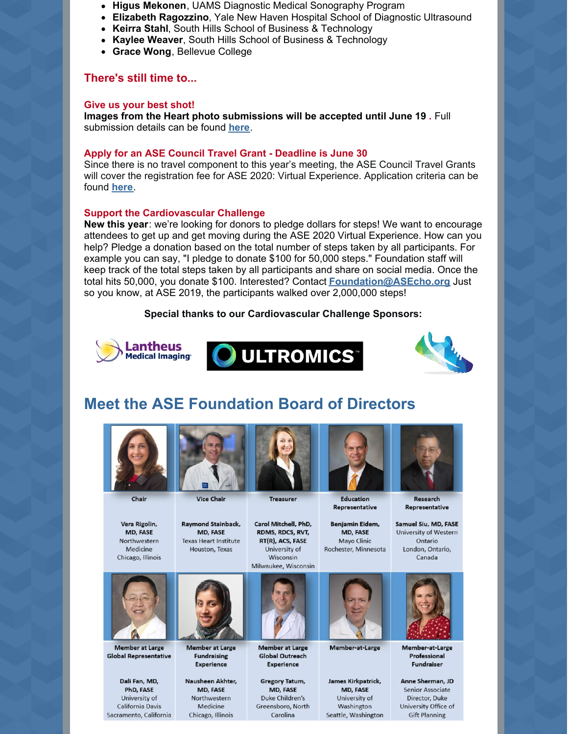- **Higus Mekonen**, UAMS Diagnostic Medical Sonography Program
- **Elizabeth Ragozzino**, Yale New Haven Hospital School of Diagnostic Ultrasound
- **Keirra Stahl**, South Hills School of Business & Technology
- **Kaylee Weaver**, South Hills School of Business & Technology
- **Grace Wong**, Bellevue College

#### **There's still time to...**

#### **Give us your best shot!**

**Images from the Heart photo submissions will be accepted until June 19 .** Full submission details can be found **[here](https://www.asefoundation.org/images-from-the-heart/)**.

#### **Apply for an ASE Council Travel Grant - Deadline is June 30**

Since there is no travel component to this year's meeting, the ASE Council Travel Grants will cover the registration fee for ASE 2020: Virtual Experience. Application criteria can be found **[here](https://www.asefoundation.org/council-travel-grants/)**.

#### **Support the Cardiovascular Challenge**

**New this year**: we're looking for donors to pledge dollars for steps! We want to encourage attendees to get up and get moving during the ASE 2020 Virtual Experience. How can you help? Pledge a donation based on the total number of steps taken by all participants. For example you can say, "I pledge to donate \$100 for 50,000 steps." Foundation staff will keep track of the total steps taken by all participants and share on social media. Once the total hits 50,000, you donate \$100. Interested? Contact **[Foundation@ASEcho.org](mailto:Foundation@asecho.org)** Just so you know, at ASE 2019, the participants walked over 2,000,000 steps!

#### **Special thanks to our Cardiovascular Challenge Sponsors:**







### **Meet the ASE Foundation Board of Directors**